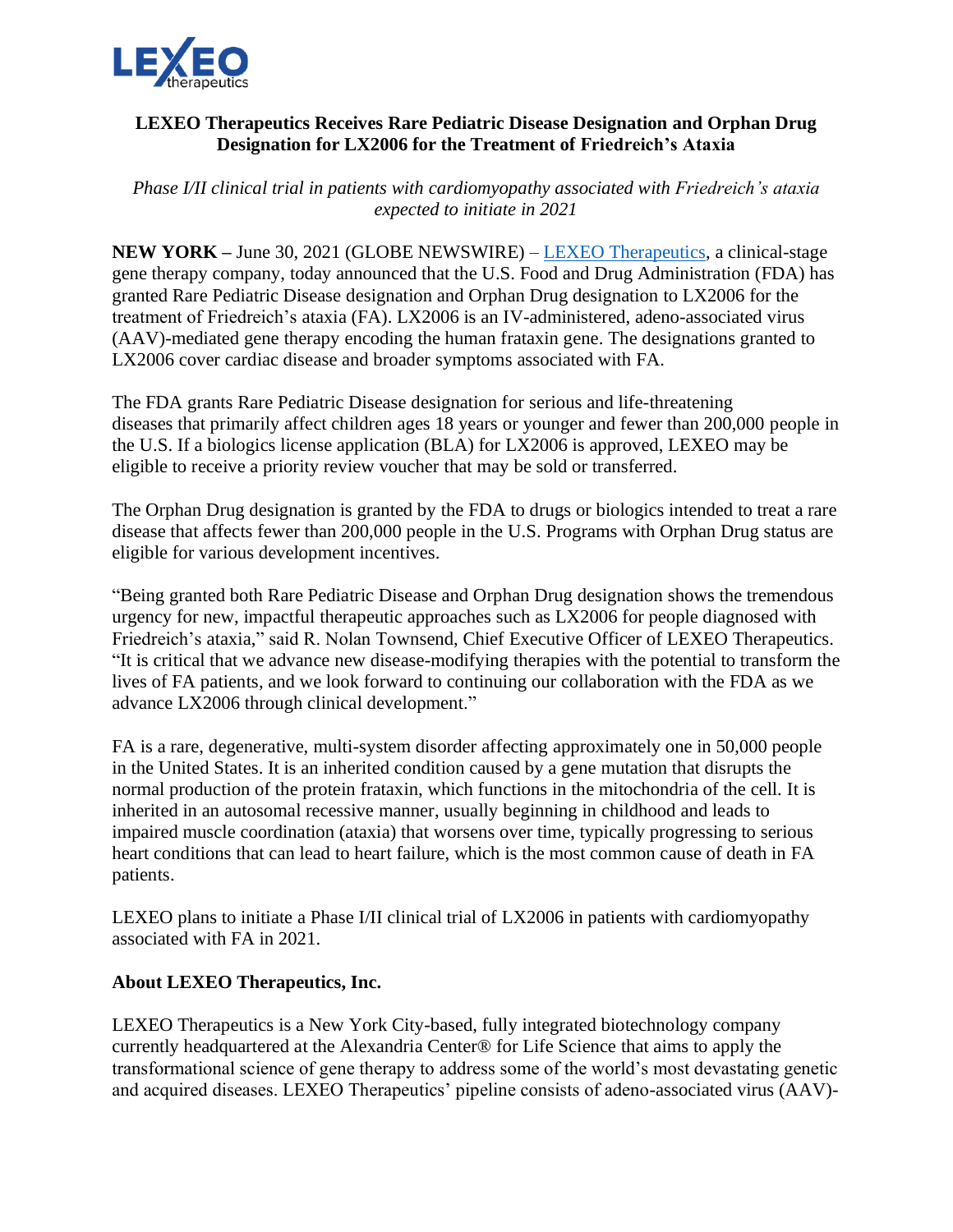

## **LEXEO Therapeutics Receives Rare Pediatric Disease Designation and Orphan Drug Designation for LX2006 for the Treatment of Friedreich's Ataxia**

*Phase I/II clinical trial in patients with cardiomyopathy associated with Friedreich's ataxia expected to initiate in 2021*

**NEW YORK –** June 30, 2021 (GLOBE NEWSWIRE) – [LEXEO Therapeutics,](https://www.lexeotx.com/) a clinical-stage gene therapy company, today announced that the U.S. Food and Drug Administration (FDA) has granted Rare Pediatric Disease designation and Orphan Drug designation to LX2006 for the treatment of Friedreich's ataxia (FA). LX2006 is an IV-administered, adeno-associated virus (AAV)-mediated gene therapy encoding the human frataxin gene. The designations granted to LX2006 cover cardiac disease and broader symptoms associated with FA.

The FDA grants Rare Pediatric Disease designation for serious and life-threatening diseases that primarily affect children ages 18 years or younger and fewer than 200,000 people in the U.S. If a biologics license application (BLA) for LX2006 is approved, LEXEO may be eligible to receive a priority review voucher that may be sold or transferred.

The Orphan Drug designation is granted by the FDA to drugs or biologics intended to treat a rare disease that affects fewer than 200,000 people in the U.S. Programs with Orphan Drug status are eligible for various development incentives.

"Being granted both Rare Pediatric Disease and Orphan Drug designation shows the tremendous urgency for new, impactful therapeutic approaches such as LX2006 for people diagnosed with Friedreich's ataxia," said R. Nolan Townsend, Chief Executive Officer of LEXEO Therapeutics. "It is critical that we advance new disease-modifying therapies with the potential to transform the lives of FA patients, and we look forward to continuing our collaboration with the FDA as we advance LX2006 through clinical development."

FA is a rare, degenerative, multi-system disorder affecting approximately one in 50,000 people in the United States. It is an inherited condition caused by a gene mutation that disrupts the normal production of the protein frataxin, which functions in the mitochondria of the cell. It is inherited in an autosomal recessive manner, usually beginning in childhood and leads to impaired muscle coordination (ataxia) that worsens over time, typically progressing to serious heart conditions that can lead to heart failure, which is the most common cause of death in FA patients.

LEXEO plans to initiate a Phase I/II clinical trial of LX2006 in patients with cardiomyopathy associated with FA in 2021.

## **About LEXEO Therapeutics, Inc.**

LEXEO Therapeutics is a New York City-based, fully integrated biotechnology company currently headquartered at the Alexandria Center® for Life Science that aims to apply the transformational science of gene therapy to address some of the world's most devastating genetic and acquired diseases. LEXEO Therapeutics' pipeline consists of adeno-associated virus (AAV)-